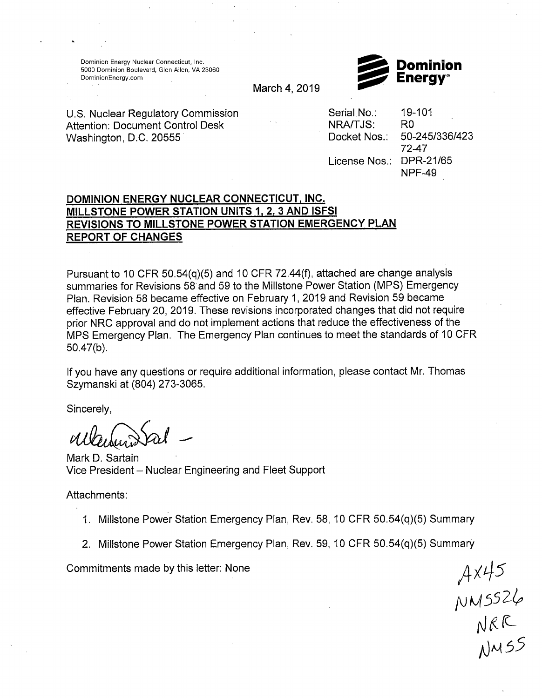Dominion Energy Nuclear Connecticut, Inc. 5000 Dominion Boulevard, Glen Allen, VA 23060 Dominion Energy.com



March 4, 2019

U.S. Nuclear Regulatory Commission Attention: Document Control Desk Washington, D.C. 20555

Serial No.: NRA/TJS: Docket Nos.: License Nos.: DPR-21/65 19-101 RO 50-245/336/423 72-47 NPF-49

## **DOMINION ENERGY NUCLEAR CONNECTICUT, INC. MILLSTONE POWER STATION UNITS 1, 2, 3 AND ISFSI REVISIONS TO MILLSTONE POWER STATION EMERGENCY PLAN REPORT OF CHANGES**

Pursuant to 10 CFR 50.54(q)(5) and 10 CFR 72.44(f), attached are change analysis summaries for Revisions 58 and 59 to the Millstone Power Station (MPS) Emergency Plan. Revision 58 became effective on February 1, 2019 and Revision 59 became effective February 20, 2019. These revisions incorporated changes that did not require prior NRC approval and do not implement actions that reduce the effectiveness of the MPS Emergency Plan. The Emergency Plan continues to meet the standards of 10 CFR 50.47(b).

If you have any questions or require additional information, please contact Mr. Thomas Szymanski at (804) 273-3065.

Sincerely,

Mark D. Sartain Vice President - Nuclear Engineering and Fleet Support

Attachments:

- 1. Millstone Power Station Emergency Plan, Rev. 58, 10 CFR 50.54(q)(5) Summary
- 2. Millstone Power Station Emergency Plan, Rev. 59, 10 CFR 50.54(q)(5) Summary

Commitments made by this letter: None

f\J M *55 2/,t,*  rJ *t* (L\_  $\Lambda$ JMSS